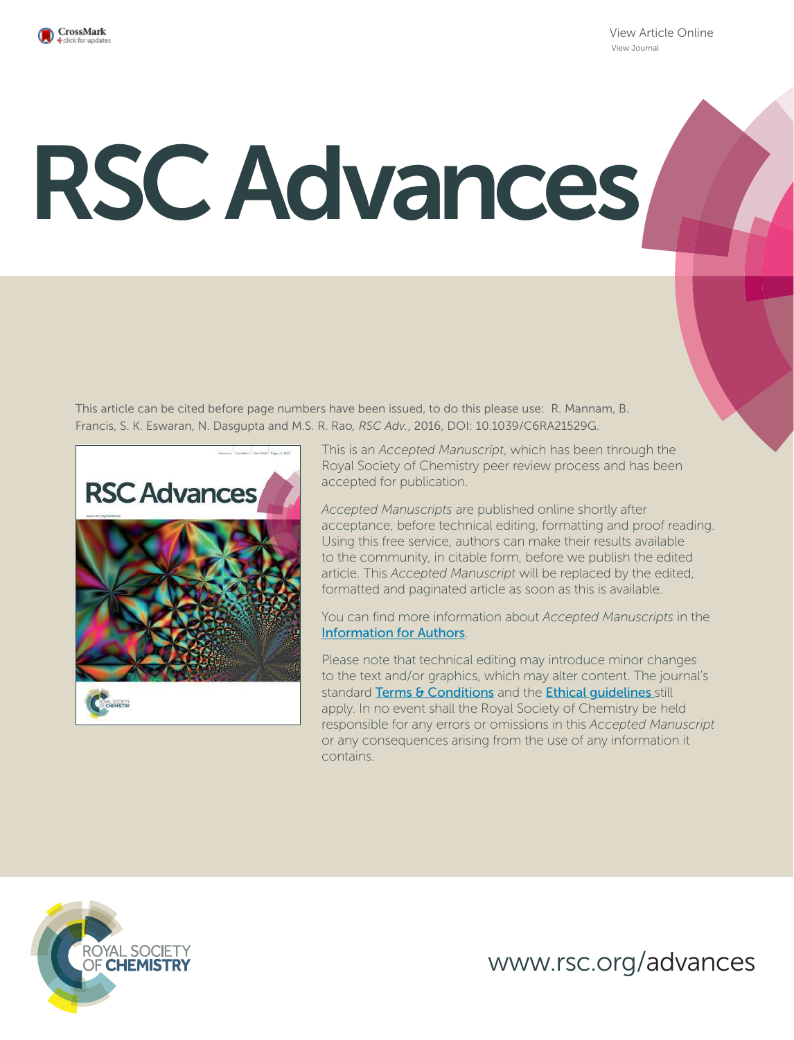

View Article Online View Journal

# RSC Advances

This article can be cited before page numbers have been issued, to do this please use: R. Mannam, B. Francis, S. K. Eswaran, N. Dasgupta and M.S. R. Rao*, RSC Adv.*, 2016, DOI: 10.1039/C6RA21529G.



This is an *Accepted Manuscript*, which has been through the Royal Society of Chemistry peer review process and has been accepted for publication.

*Accepted Manuscripts* are published online shortly after acceptance, before technical editing, formatting and proof reading. Using this free service, authors can make their results available to the community, in citable form, before we publish the edited article. This *Accepted Manuscript* will be replaced by the edited, formatted and paginated article as soon as this is available.

You can find more information about *Accepted Manuscripts* in the Information for Authors.

Please note that technical editing may introduce minor changes to the text and/or graphics, which may alter content. The journal's standard Terms & Conditions and the Ethical quidelines still apply. In no event shall the Royal Society of Chemistry be held responsible for any errors or omissions in this *Accepted Manuscript* or any consequences arising from the use of any information it contains.



www.rsc.org/advances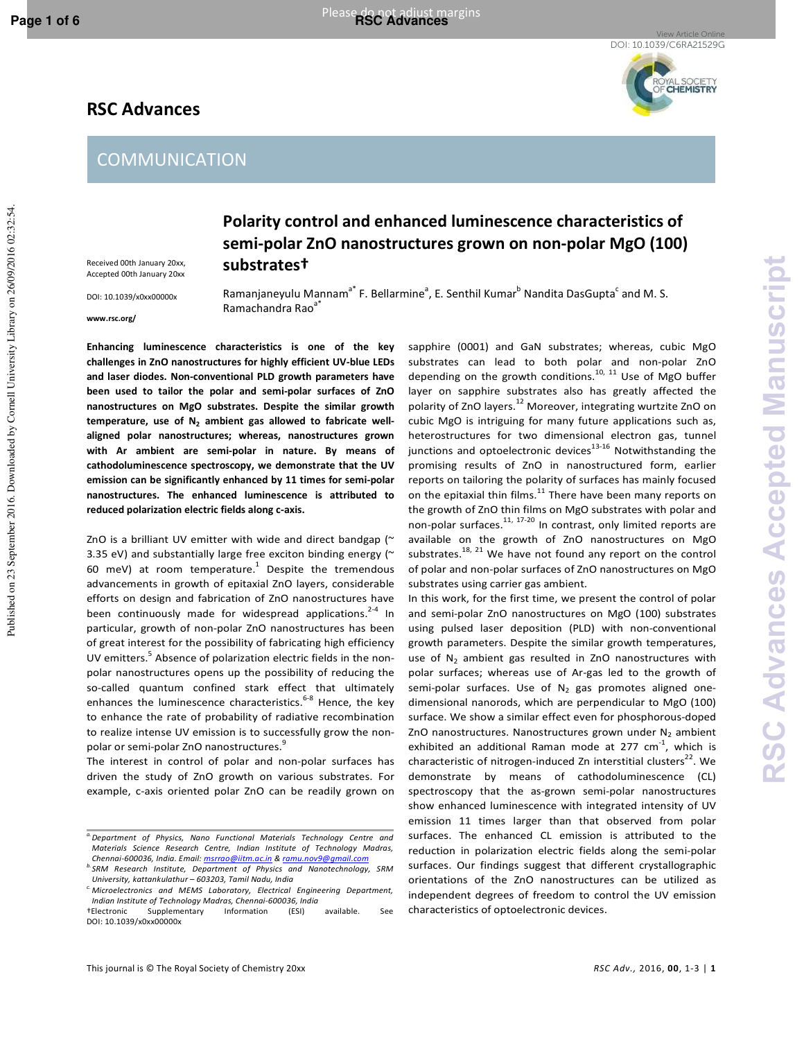Published on 23 September 2016. Downloaded by Cornell University Library on 26/09/2016 02:32:54.

Published on 23 September 2016. Downloaded by Cornell University Library on 26/09/2016 02:54

View Article Online DOI: 10.1039/C6RA21529G



# **RSC Advances**

## **COMMUNICATION**

**Polarity control and enhanced luminescence characteristics of semi-polar ZnO nanostructures grown on non-polar MgO (100) substrates†** 

Accepted 00th January 20xx DOI: 10.1039/x0xx00000x

Received 00th January 20xx,

**www.rsc.org/** 

Ramanjaneyulu Mannam<sup>a\*</sup> F. Bellarmine<sup>a</sup>, E. Senthil Kumar<sup>b</sup> Nandita DasGupta<sup>c</sup> and M. S. Ramachandra Rao<sup>a\*</sup>

**Enhancing luminescence characteristics is one of the key challenges in ZnO nanostructures for highly efficient UV-blue LEDs and laser diodes. Non-conventional PLD growth parameters have been used to tailor the polar and semi-polar surfaces of ZnO nanostructures on MgO substrates. Despite the similar growth temperature, use of N<sup>2</sup> ambient gas allowed to fabricate wellaligned polar nanostructures; whereas, nanostructures grown with Ar ambient are semi-polar in nature. By means of cathodoluminescence spectroscopy, we demonstrate that the UV emission can be significantly enhanced by 11 times for semi-polar nanostructures. The enhanced luminescence is attributed to reduced polarization electric fields along c-axis.** 

ZnO is a brilliant UV emitter with wide and direct bandgap ( $\sim$ 3.35 eV) and substantially large free exciton binding energy ( $\sim$ 60 meV) at room temperature.<sup>1</sup> Despite the tremendous advancements in growth of epitaxial ZnO layers, considerable efforts on design and fabrication of ZnO nanostructures have been continuously made for widespread applications.<sup>2-4</sup> In particular, growth of non-polar ZnO nanostructures has been of great interest for the possibility of fabricating high efficiency UV emitters.<sup>5</sup> Absence of polarization electric fields in the nonpolar nanostructures opens up the possibility of reducing the so-called quantum confined stark effect that ultimately enhances the luminescence characteristics.<sup>6-8</sup> Hence, the key to enhance the rate of probability of radiative recombination to realize intense UV emission is to successfully grow the nonpolar or semi-polar ZnO nanostructures.<sup>9</sup>

The interest in control of polar and non-polar surfaces has driven the study of ZnO growth on various substrates. For example, c-axis oriented polar ZnO can be readily grown on

substrates can lead to both polar and non-polar ZnO depending on the growth conditions. $10, 11$  Use of MgO buffer layer on sapphire substrates also has greatly affected the polarity of ZnO layers.<sup>12</sup> Moreover, integrating wurtzite ZnO on cubic MgO is intriguing for many future applications such as, heterostructures for two dimensional electron gas, tunnel junctions and optoelectronic devices $13-16$  Notwithstanding the promising results of ZnO in nanostructured form, earlier reports on tailoring the polarity of surfaces has mainly focused on the epitaxial thin films. $11$  There have been many reports on the growth of ZnO thin films on MgO substrates with polar and non-polar surfaces.11, 17-20 In contrast, only limited reports are available on the growth of ZnO nanostructures on MgO substrates. $18$ ,  $21$  We have not found any report on the control of polar and non-polar surfaces of ZnO nanostructures on MgO substrates using carrier gas ambient.

sapphire (0001) and GaN substrates; whereas, cubic MgO

In this work, for the first time, we present the control of polar and semi-polar ZnO nanostructures on MgO (100) substrates using pulsed laser deposition (PLD) with non-conventional growth parameters. Despite the similar growth temperatures, use of  $N_2$  ambient gas resulted in ZnO nanostructures with polar surfaces; whereas use of Ar-gas led to the growth of semi-polar surfaces. Use of  $N_2$  gas promotes aligned onedimensional nanorods, which are perpendicular to MgO (100) surface. We show a similar effect even for phosphorous-doped ZnO nanostructures. Nanostructures grown under  $N_2$  ambient exhibited an additional Raman mode at 277  $cm^{-1}$ , which is characteristic of nitrogen-induced Zn interstitial clusters $^{22}$ . We demonstrate by means of cathodoluminescence (CL) spectroscopy that the as-grown semi-polar nanostructures show enhanced luminescence with integrated intensity of UV emission 11 times larger than that observed from polar surfaces. The enhanced CL emission is attributed to the reduction in polarization electric fields along the semi-polar surfaces. Our findings suggest that different crystallographic orientations of the ZnO nanostructures can be utilized as independent degrees of freedom to control the UV emission characteristics of optoelectronic devices.

*a.Department of Physics, Nano Functional Materials Technology Centre and Materials Science Research Centre, Indian Institute of Technology Madras, Chennai-600036, India. Email: msrrao@iitm.ac.in & ram* 

*b.SRM Research Institute, Department of Physics and Nanotechnology, SRM University, kattankulathur – 603203, Tamil Nadu, India* 

*c. Microelectronics and MEMS Laboratory, Electrical Engineering Department, Indian Institute of Technology Madras, Chennai-600036, India* 

<sup>†</sup>Electronic Supplementary Information (ESI) available. See DOI: 10.1039/x0xx00000x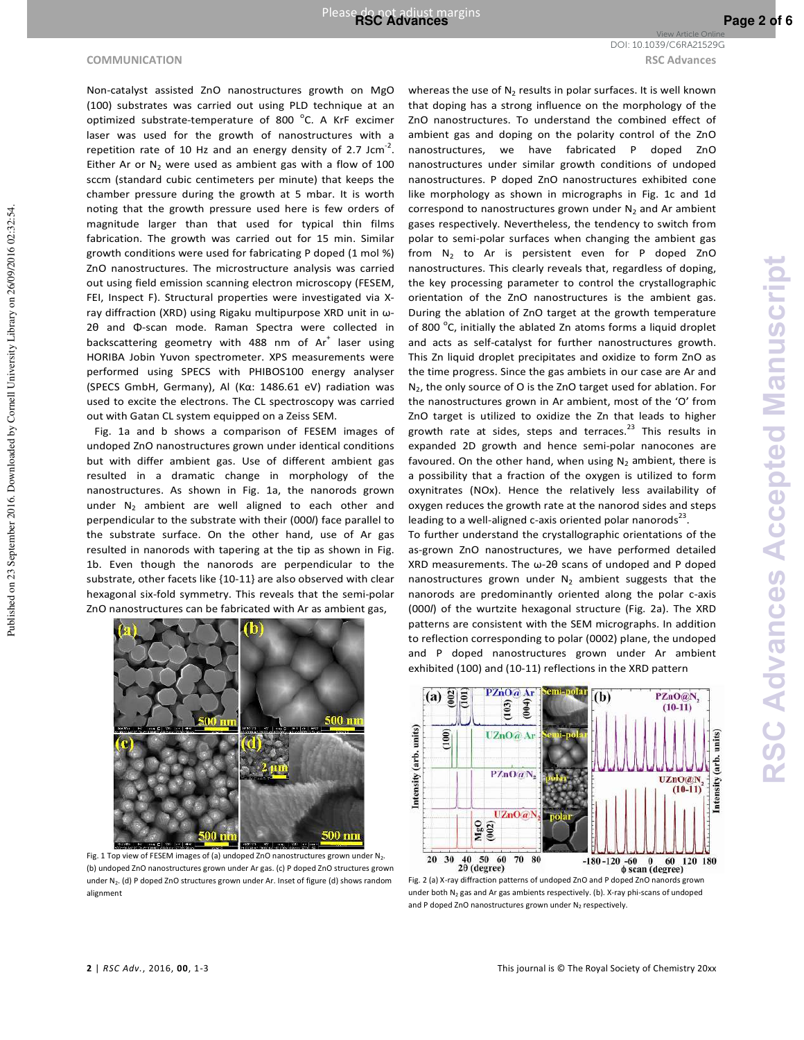**COMMUNICATION RSC Advances** DOI: 10.1039/C6RA21529G

Non-catalyst assisted ZnO nanostructures growth on MgO (100) substrates was carried out using PLD technique at an optimized substrate-temperature of 800 <sup>o</sup>C. A KrF excimer laser was used for the growth of nanostructures with a repetition rate of 10 Hz and an energy density of 2.7 Jcm<sup>-2</sup>. Either Ar or  $N_2$  were used as ambient gas with a flow of 100 sccm (standard cubic centimeters per minute) that keeps the chamber pressure during the growth at 5 mbar. It is worth noting that the growth pressure used here is few orders of magnitude larger than that used for typical thin films fabrication. The growth was carried out for 15 min. Similar growth conditions were used for fabricating P doped (1 mol %) ZnO nanostructures. The microstructure analysis was carried out using field emission scanning electron microscopy (FESEM, FEI, Inspect F). Structural properties were investigated via Xray diffraction (XRD) using Rigaku multipurpose XRD unit in ω-2θ and Φ-scan mode. Raman Spectra were collected in backscattering geometry with 488 nm of  $Ar^+$  laser using HORIBA Jobin Yuvon spectrometer. XPS measurements were performed using SPECS with PHIBOS100 energy analyser (SPECS GmbH, Germany), Al (Kα: 1486.61 eV) radiation was used to excite the electrons. The CL spectroscopy was carried out with Gatan CL system equipped on a Zeiss SEM.

 Fig. 1a and b shows a comparison of FESEM images of undoped ZnO nanostructures grown under identical conditions but with differ ambient gas. Use of different ambient gas resulted in a dramatic change in morphology of the nanostructures. As shown in Fig. 1a, the nanorods grown under  $N_2$  ambient are well aligned to each other and perpendicular to the substrate with their (000*l*) face parallel to the substrate surface. On the other hand, use of Ar gas resulted in nanorods with tapering at the tip as shown in Fig. 1b. Even though the nanorods are perpendicular to the substrate, other facets like {10-11} are also observed with clear hexagonal six-fold symmetry. This reveals that the semi-polar ZnO nanostructures can be fabricated with Ar as ambient gas,



Fig. 1 Top view of FESEM images of (a) undoped ZnO nanostructures grown under N2. (b) undoped ZnO nanostructures grown under Ar gas. (c) P doped ZnO structures grown under N<sub>2</sub>. (d) P doped ZnO structures grown under Ar. Inset of figure (d) shows random alignment

whereas the use of  $N_2$  results in polar surfaces. It is well known that doping has a strong influence on the morphology of the ZnO nanostructures. To understand the combined effect of ambient gas and doping on the polarity control of the ZnO nanostructures, we have fabricated P doped ZnO nanostructures under similar growth conditions of undoped nanostructures. P doped ZnO nanostructures exhibited cone like morphology as shown in micrographs in Fig. 1c and 1d correspond to nanostructures grown under  $N_2$  and Ar ambient gases respectively. Nevertheless, the tendency to switch from polar to semi-polar surfaces when changing the ambient gas from  $N_2$  to Ar is persistent even for P doped ZnO nanostructures. This clearly reveals that, regardless of doping, the key processing parameter to control the crystallographic orientation of the ZnO nanostructures is the ambient gas. During the ablation of ZnO target at the growth temperature of 800 °C, initially the ablated Zn atoms forms a liquid droplet and acts as self-catalyst for further nanostructures growth. This Zn liquid droplet precipitates and oxidize to form ZnO as the time progress. Since the gas ambiets in our case are Ar and N<sub>2</sub>, the only source of O is the ZnO target used for ablation. For the nanostructures grown in Ar ambient, most of the 'O' from ZnO target is utilized to oxidize the Zn that leads to higher growth rate at sides, steps and terraces. $^{23}$  This results in expanded 2D growth and hence semi-polar nanocones are favoured. On the other hand, when using  $N_2$  ambient, there is a possibility that a fraction of the oxygen is utilized to form oxynitrates (NOx). Hence the relatively less availability of oxygen reduces the growth rate at the nanorod sides and steps leading to a well-aligned c-axis oriented polar nanorods $^{23}$ .

To further understand the crystallographic orientations of the as-grown ZnO nanostructures, we have performed detailed XRD measurements. The ω-2θ scans of undoped and P doped nanostructures grown under  $N_2$  ambient suggests that the nanorods are predominantly oriented along the polar c-axis (000*l*) of the wurtzite hexagonal structure (Fig. 2a). The XRD patterns are consistent with the SEM micrographs. In addition to reflection corresponding to polar (0002) plane, the undoped and P doped nanostructures grown under Ar ambient exhibited (100) and (10-11) reflections in the XRD pattern



Fig. 2 (a) X-ray diffraction patterns of undoped ZnO and P doped ZnO nanords grown under both N2 gas and Ar gas ambients respectively. (b). X-ray phi-scans of undoped and P doped ZnO nanostructures grown under  $N_2$  respectively.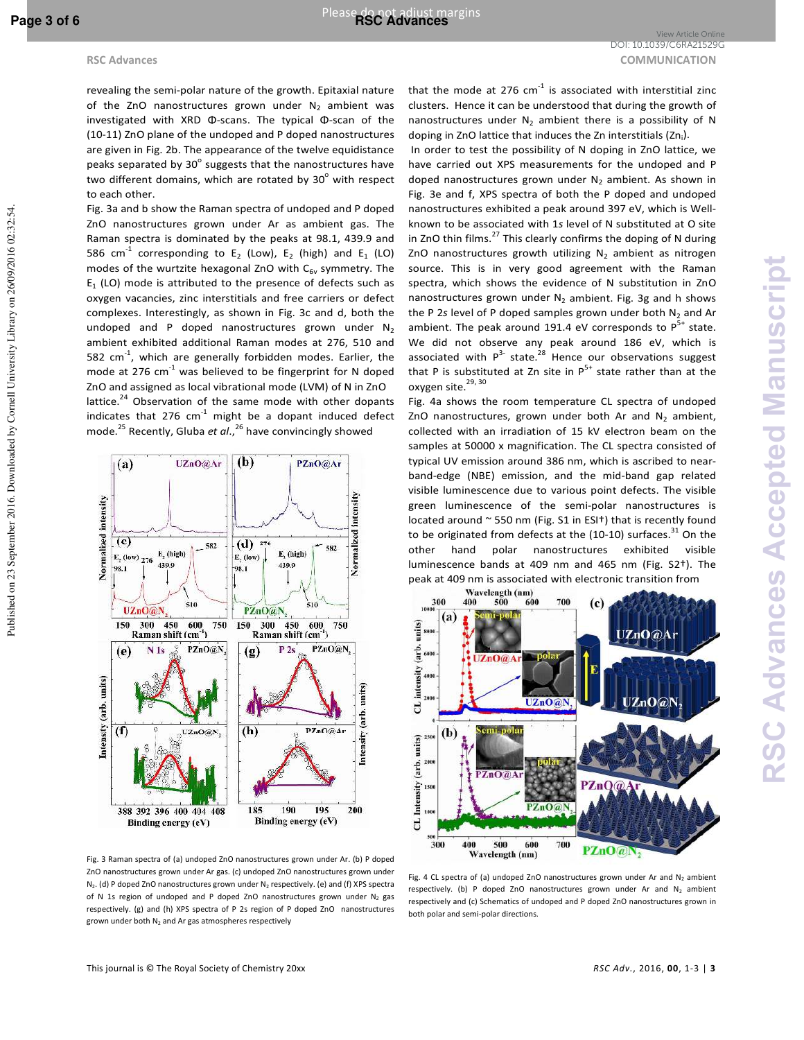Published on 23 September 2016. Downloaded by Cornell University Library on 26/09/2016 02:32:54.

Published on 23 September 2016. Downloaded by Cornell University Library on 26/09/2016 02:54

revealing the semi-polar nature of the growth. Epitaxial nature of the ZnO nanostructures grown under  $N_2$  ambient was investigated with XRD Φ-scans. The typical Φ-scan of the (10-11) ZnO plane of the undoped and P doped nanostructures are given in Fig. 2b. The appearance of the twelve equidistance peaks separated by 30 $^{\circ}$  suggests that the nanostructures have two different domains, which are rotated by 30 $^{\circ}$  with respect to each other.

Fig. 3a and b show the Raman spectra of undoped and P doped ZnO nanostructures grown under Ar as ambient gas. The Raman spectra is dominated by the peaks at 98.1, 439.9 and 586 cm<sup>-1</sup> corresponding to E<sub>2</sub> (Low), E<sub>2</sub> (high) and E<sub>1</sub> (LO) modes of the wurtzite hexagonal ZnO with  $C_{6v}$  symmetry. The  $E_1$  (LO) mode is attributed to the presence of defects such as oxygen vacancies, zinc interstitials and free carriers or defect complexes. Interestingly, as shown in Fig. 3c and d, both the undoped and P doped nanostructures grown under  $N_2$ ambient exhibited additional Raman modes at 276, 510 and 582  $cm^{-1}$ , which are generally forbidden modes. Earlier, the mode at 276  $cm^{-1}$  was believed to be fingerprint for N doped ZnO and assigned as local vibrational mode (LVM) of N in ZnO lattice.<sup>24</sup> Observation of the same mode with other dopants indicates that  $276$  cm<sup>-1</sup> might be a dopant induced defect mode.<sup>25</sup> Recently, Gluba *et al*., <sup>26</sup> have convincingly showed



that the mode at 276  $cm^{-1}$  is associated with interstitial zinc clusters. Hence it can be understood that during the growth of nanostructures under  $N_2$  ambient there is a possibility of N doping in ZnO lattice that induces the Zn interstitials (Zn<sub>i</sub>).

 In order to test the possibility of N doping in ZnO lattice, we have carried out XPS measurements for the undoped and P doped nanostructures grown under  $N_2$  ambient. As shown in Fig. 3e and f, XPS spectra of both the P doped and undoped nanostructures exhibited a peak around 397 eV, which is Wellknown to be associated with 1*s* level of N substituted at O site in ZnO thin films.<sup>27</sup> This clearly confirms the doping of N during ZnO nanostructures growth utilizing  $N_2$  ambient as nitrogen source. This is in very good agreement with the Raman spectra, which shows the evidence of N substitution in ZnO nanostructures grown under  $N_2$  ambient. Fig. 3g and h shows the P 2s level of P doped samples grown under both N<sub>2</sub> and Ar ambient. The peak around 191.4 eV corresponds to  $P^{5+}$  state. We did not observe any peak around 186 eV, which is associated with  $P^{3-}$  state.<sup>28</sup> Hence our observations suggest that P is substituted at Zn site in  $P^{5+}$  state rather than at the oxygen site.<sup>29, 30</sup>

Fig. 4a shows the room temperature CL spectra of undoped ZnO nanostructures, grown under both Ar and  $N_2$  ambient, collected with an irradiation of 15 kV electron beam on the samples at 50000 x magnification. The CL spectra consisted of typical UV emission around 386 nm, which is ascribed to nearband-edge (NBE) emission, and the mid-band gap related visible luminescence due to various point defects. The visible green luminescence of the semi-polar nanostructures is located around ~ 550 nm (Fig. S1 in ESI†) that is recently found to be originated from defects at the (10-10) surfaces.<sup>31</sup> On the other hand polar nanostructures exhibited visible luminescence bands at 409 nm and 465 nm (Fig. S2†). The peak at 409 nm is associated with electronic transition from<br>Wavelength (nm)



Fig. 3 Raman spectra of (a) undoped ZnO nanostructures grown under Ar. (b) P doped ZnO nanostructures grown under Ar gas. (c) undoped ZnO nanostructures grown under  $N_2$ . (d) P doped ZnO nanostructures grown under  $N_2$  respectively. (e) and (f) XPS spectra of N 1s region of undoped and P doped ZnO nanostructures grown under  $N_2$  gas respectively. (g) and (h) XPS spectra of P 2s region of P doped ZnO nanostructures grown under both N<sub>2</sub> and Ar gas atmospheres respectively

Fig. 4 CL spectra of (a) undoped ZnO nanostructures grown under Ar and  $N_2$  ambient respectively. (b) P doped ZnO nanostructures grown under Ar and  $N_2$  ambient respectively and (c) Schematics of undoped and P doped ZnO nanostructures grown in both polar and semi-polar directions.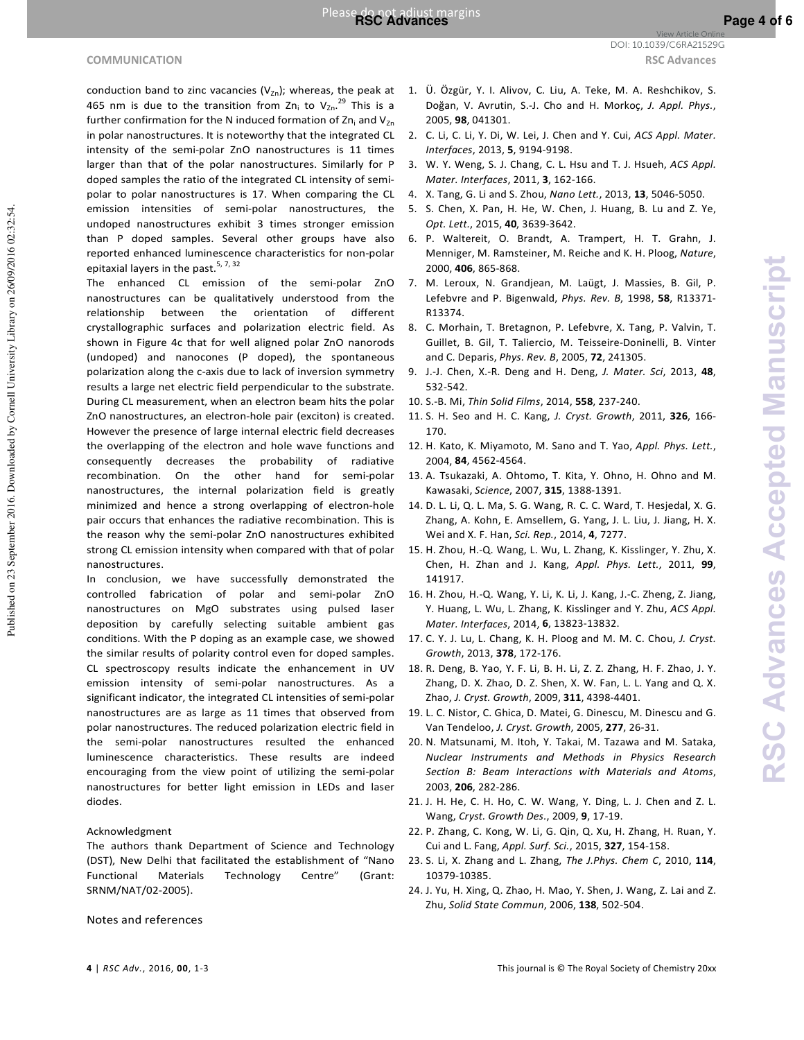#### **COMMUNICATION RSC Advances**

Published on 23 September 2016. Downloaded by Cornell University Library on 26/09/2016 02:32:54.

Published on 23 September 2016. Downloaded by Cornell University Library on 26/09/2016 02:32:54

- *Interfaces*, 2013, **5**, 9194-9198. 3. W. Y. Weng, S. J. Chang, C. L. Hsu and T. J. Hsueh, *ACS Appl.*
- *Mater. Interfaces*, 2011, **3**, 162-166.
- 4. X. Tang, G. Li and S. Zhou, *Nano Lett.*, 2013, **13**, 5046-5050.
- 5. S. Chen, X. Pan, H. He, W. Chen, J. Huang, B. Lu and Z. Ye, *Opt. Lett.*, 2015, **40**, 3639-3642.
- 6. P. Waltereit, O. Brandt, A. Trampert, H. T. Grahn, J. Menniger, M. Ramsteiner, M. Reiche and K. H. Ploog, *Nature*, 2000, **406**, 865-868.
- 7. M. Leroux, N. Grandjean, M. Laügt, J. Massies, B. Gil, P. Lefebvre and P. Bigenwald, *Phys. Rev. B*, 1998, **58**, R13371- R13374.
- 8. C. Morhain, T. Bretagnon, P. Lefebvre, X. Tang, P. Valvin, T. Guillet, B. Gil, T. Taliercio, M. Teisseire-Doninelli, B. Vinter and C. Deparis, *Phys. Rev. B*, 2005, **72**, 241305.
- 9. J.-J. Chen, X.-R. Deng and H. Deng, *J. Mater. Sci*, 2013, **48**, 532-542.
- 10. S.-B. Mi, *Thin Solid Films*, 2014, **558**, 237-240.
- 11. S. H. Seo and H. C. Kang, *J. Cryst. Growth*, 2011, **326**, 166- 170.
- 12. H. Kato, K. Miyamoto, M. Sano and T. Yao, *Appl. Phys. Lett.*, 2004, **84**, 4562-4564.
- 13. A. Tsukazaki, A. Ohtomo, T. Kita, Y. Ohno, H. Ohno and M. Kawasaki, *Science*, 2007, **315**, 1388-1391.
- 14. D. L. Li, Q. L. Ma, S. G. Wang, R. C. C. Ward, T. Hesjedal, X. G. Zhang, A. Kohn, E. Amsellem, G. Yang, J. L. Liu, J. Jiang, H. X. Wei and X. F. Han, *Sci. Rep.*, 2014, **4**, 7277.
- 15. H. Zhou, H.-Q. Wang, L. Wu, L. Zhang, K. Kisslinger, Y. Zhu, X. Chen, H. Zhan and J. Kang, *Appl. Phys. Lett.*, 2011, **99**, 141917.
- 16. H. Zhou, H.-Q. Wang, Y. Li, K. Li, J. Kang, J.-C. Zheng, Z. Jiang, Y. Huang, L. Wu, L. Zhang, K. Kisslinger and Y. Zhu, *ACS Appl. Mater. Interfaces*, 2014, **6**, 13823-13832.
- 17. C. Y. J. Lu, L. Chang, K. H. Ploog and M. M. C. Chou, *J. Cryst. Growth*, 2013, **378**, 172-176.
- 18. R. Deng, B. Yao, Y. F. Li, B. H. Li, Z. Z. Zhang, H. F. Zhao, J. Y. Zhang, D. X. Zhao, D. Z. Shen, X. W. Fan, L. L. Yang and Q. X. Zhao, *J. Cryst. Growth*, 2009, **311**, 4398-4401.
- 19. L. C. Nistor, C. Ghica, D. Matei, G. Dinescu, M. Dinescu and G. Van Tendeloo, *J. Cryst. Growth*, 2005, **277**, 26-31.
- 20. N. Matsunami, M. Itoh, Y. Takai, M. Tazawa and M. Sataka, *Nuclear Instruments and Methods in Physics Research Section B: Beam Interactions with Materials and Atoms*, 2003, **206**, 282-286.
- 21. J. H. He, C. H. Ho, C. W. Wang, Y. Ding, L. J. Chen and Z. L. Wang, *Cryst. Growth Des.*, 2009, **9**, 17-19.
- 22. P. Zhang, C. Kong, W. Li, G. Qin, Q. Xu, H. Zhang, H. Ruan, Y. Cui and L. Fang, *Appl. Surf. Sci.*, 2015, **327**, 154-158.
- 23. S. Li, X. Zhang and L. Zhang, *The J.Phys. Chem C*, 2010, **114**, 10379-10385.
- 24. J. Yu, H. Xing, Q. Zhao, H. Mao, Y. Shen, J. Wang, Z. Lai and Z. Zhu, *Solid State Commun*, 2006, **138**, 502-504.

Notes and references

View Article Online DOI: 10.1039/C6RA21529G

doped samples the ratio of the integrated CL intensity of semipolar to polar nanostructures is 17. When comparing the CL emission intensities of semi-polar nanostructures, the undoped nanostructures exhibit 3 times stronger emission than P doped samples. Several other groups have also reported enhanced luminescence characteristics for non-polar epitaxial layers in the past.<sup>5, 7, 32</sup> The enhanced CL emission of the semi-polar ZnO nanostructures can be qualitatively understood from the relationship between the orientation of different crystallographic surfaces and polarization electric field. As shown in Figure 4c that for well aligned polar ZnO nanorods (undoped) and nanocones (P doped), the spontaneous

polarization along the c-axis due to lack of inversion symmetry results a large net electric field perpendicular to the substrate. During CL measurement, when an electron beam hits the polar ZnO nanostructures, an electron-hole pair (exciton) is created. However the presence of large internal electric field decreases the overlapping of the electron and hole wave functions and consequently decreases the probability of radiative recombination. On the other hand for semi-polar nanostructures, the internal polarization field is greatly minimized and hence a strong overlapping of electron-hole pair occurs that enhances the radiative recombination. This is the reason why the semi-polar ZnO nanostructures exhibited strong CL emission intensity when compared with that of polar nanostructures.

In conclusion, we have successfully demonstrated the controlled fabrication of polar and semi-polar ZnO nanostructures on MgO substrates using pulsed laser deposition by carefully selecting suitable ambient gas conditions. With the P doping as an example case, we showed the similar results of polarity control even for doped samples. CL spectroscopy results indicate the enhancement in UV emission intensity of semi-polar nanostructures. As a significant indicator, the integrated CL intensities of semi-polar nanostructures are as large as 11 times that observed from polar nanostructures. The reduced polarization electric field in the semi-polar nanostructures resulted the enhanced luminescence characteristics. These results are indeed encouraging from the view point of utilizing the semi-polar nanostructures for better light emission in LEDs and laser diodes.

### Acknowledgment

The authors thank Department of Science and Technology (DST), New Delhi that facilitated the establishment of "Nano Functional Materials Technology Centre" (Grant: SRNM/NAT/02-2005).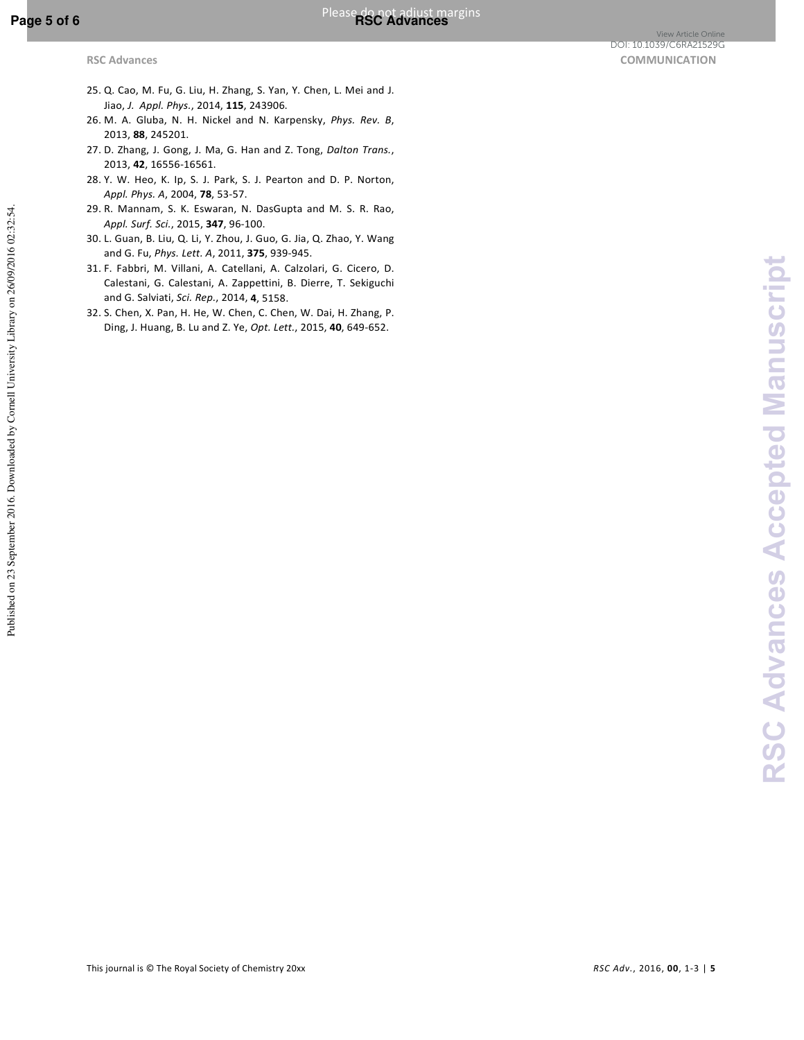Published on 23 September 2016. Downloaded by Cornell University Library on 26/09/2016 02:32:54.

Published on 23 September 2016. Downloaded by Cornell University Library on 26/09/2016 02:32:54.

- 25. Q. Cao, M. Fu, G. Liu, H. Zhang, S. Yan, Y. Chen, L. Mei and J. Jiao, *J. Appl. Phys.*, 2014, **115**, 243906.
- 26. M. A. Gluba, N. H. Nickel and N. Karpensky, *Phys. Rev. B*, 2013, **88**, 245201.
- 27. D. Zhang, J. Gong, J. Ma, G. Han and Z. Tong, *Dalton Trans.*, 2013, **42**, 16556-16561.
- 28. Y. W. Heo, K. Ip, S. J. Park, S. J. Pearton and D. P. Norton, *Appl. Phys. A*, 2004, **78**, 53-57.
- 29. R. Mannam, S. K. Eswaran, N. DasGupta and M. S. R. Rao, *Appl. Surf. Sci.*, 2015, **347**, 96-100.
- 30. L. Guan, B. Liu, Q. Li, Y. Zhou, J. Guo, G. Jia, Q. Zhao, Y. Wang and G. Fu, *Phys. Lett. A*, 2011, **375**, 939-945.
- 31. F. Fabbri, M. Villani, A. Catellani, A. Calzolari, G. Cicero, D. Calestani, G. Calestani, A. Zappettini, B. Dierre, T. Sekiguchi and G. Salviati, *Sci. Rep.*, 2014, **4**, 5158.
- 32. S. Chen, X. Pan, H. He, W. Chen, C. Chen, W. Dai, H. Zhang, P. Ding, J. Huang, B. Lu and Z. Ye, *Opt. Lett.*, 2015, **40**, 649-652.